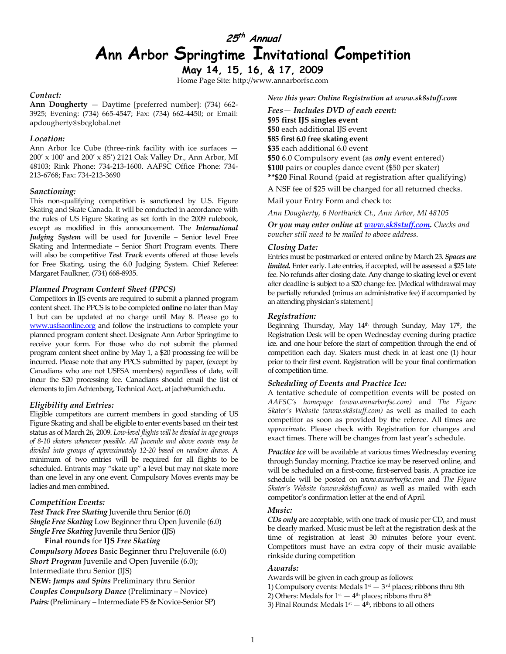# 25<sup>th</sup> Annual Ann Arbor Springtime Invitational Competition

May 14, 15, 16, & 17, 2009 Home Page Site: http://www.annarborfsc.com

#### Contact:

Ann Dougherty — Daytime [preferred number]: (734) 662- 3925; Evening: (734) 665-4547; Fax: (734) 662-4450; or Email: apdougherty@sbcglobal.net

#### Location:

Ann Arbor Ice Cube (three-rink facility with ice surfaces — 200' x 100' and 200' x 85') 2121 Oak Valley Dr., Ann Arbor, MI 48103; Rink Phone: 734-213-1600. AAFSC Office Phone: 734- 213-6768; Fax: 734-213-3690

#### Sanctioning:

This non-qualifying competition is sanctioned by U.S. Figure Skating and Skate Canada. It will be conducted in accordance with the rules of US Figure Skating as set forth in the 2009 rulebook, except as modified in this announcement. The International Judging System will be used for Juvenile – Senior level Free Skating and Intermediate – Senior Short Program events. There will also be competitive Test Track events offered at those levels for Free Skating, using the 6.0 Judging System. Chief Referee: Margaret Faulkner, (734) 668-8935.

#### Planned Program Content Sheet (PPCS)

Competitors in IJS events are required to submit a planned program content sheet. The PPCS is to be completed online no later than May 1 but can be updated at no charge until May 8. Please go to www.usfsaonline.org and follow the instructions to complete your planned program content sheet. Designate Ann Arbor Springtime to receive your form. For those who do not submit the planned program content sheet online by May 1, a \$20 processing fee will be incurred. Please note that any PPCS submitted by paper, (except by Canadians who are not USFSA members) regardless of date, will incur the \$20 processing fee. Canadians should email the list of elements to Jim Achtenberg, Technical Acct,. at jacht@umich.edu.

#### Eligibility and Entries:

Eligible competitors are current members in good standing of US Figure Skating and shall be eligible to enter events based on their test status as of March 26, 2009. Low-level flights will be divided in age groups of 8-10 skaters whenever possible. All Juvenile and above events may be divided into groups of approximately 12-20 based on random draws. A minimum of two entries will be required for all flights to be scheduled. Entrants may "skate up" a level but may not skate more than one level in any one event. Compulsory Moves events may be ladies and men combined.

#### Competition Events:

Test Track Free Skating Juvenile thru Senior (6.0) Single Free Skating Low Beginner thru Open Juvenile (6.0) Single Free Skating Juvenile thru Senior (IJS) Final rounds for IJS Free Skating

Compulsory Moves Basic Beginner thru PreJuvenile (6.0) Short Program Juvenile and Open Juvenile (6.0); Intermediate thru Senior (IJS) NEW: Jumps and Spins Preliminary thru Senior Couples Compulsory Dance (Preliminary – Novice) Pairs: (Preliminary – Intermediate FS & Novice-Senior SP)

New this year: Online Registration at www.sk8stuff.com

Fees— Includes DVD of each event: \$95 first IJS singles event \$50 each additional IJS event \$85 first 6.0 free skating event \$35 each additional 6.0 event \$50 6.0 Compulsory event (as *only* event entered) \$100 pairs or couples dance event (\$50 per skater) \*\*\$20 Final Round (paid at registration after qualifying) A NSF fee of \$25 will be charged for all returned checks.

Mail your Entry Form and check to:

Ann Dougherty, 6 Northwick Ct., Ann Arbor, MI 48105

Or you may enter online at **www.sk8stuff.com**. Checks and voucher still need to be mailed to above address.

#### Closing Date:

Entries must be postmarked or entered online by March 23. Spaces are limited. Enter early. Late entries, if accepted, will be assessed a \$25 late fee. No refunds after closing date. Any change to skating level or event after deadline is subject to a \$20 change fee. [Medical withdrawal may be partially refunded (minus an administrative fee) if accompanied by an attending physician's statement.]

#### Registration:

Beginning Thursday, May 14<sup>th</sup> through Sunday, May 17<sup>th</sup>, the Registration Desk will be open Wednesday evening during practice ice. and one hour before the start of competition through the end of competition each day. Skaters must check in at least one (1) hour prior to their first event. Registration will be your final confirmation of competition time.

#### Scheduling of Events and Practice Ice:

A tentative schedule of competition events will be posted on AAFSC's homepage (www.annarborfsc.com) and The Figure Skater's Website (www.sk8stuff.com) as well as mailed to each competitor as soon as provided by the referee. All times are approximate. Please check with Registration for changes and exact times. There will be changes from last year's schedule.

Practice ice will be available at various times Wednesday evening through Sunday morning. Practice ice may be reserved online, and will be scheduled on a first-come, first-served basis. A practice ice schedule will be posted on www.annarborfsc.com and The Figure Skater's Website (www.sk8stuff.com) as well as mailed with each competitor's confirmation letter at the end of April.

#### Music:

CDs only are acceptable, with one track of music per CD, and must be clearly marked. Music must be left at the registration desk at the time of registration at least 30 minutes before your event. Competitors must have an extra copy of their music available rinkside during competition

#### Awards:

- Awards will be given in each group as follows:
- 1) Compulsory events: Medals  $1<sup>st</sup> 3<sup>rd</sup>$  places; ribbons thru 8th
- 2) Others: Medals for  $1<sup>st</sup> 4<sup>th</sup>$  places; ribbons thru  $8<sup>th</sup>$
- 3) Final Rounds: Medals  $1<sup>st</sup> 4<sup>th</sup>$ , ribbons to all others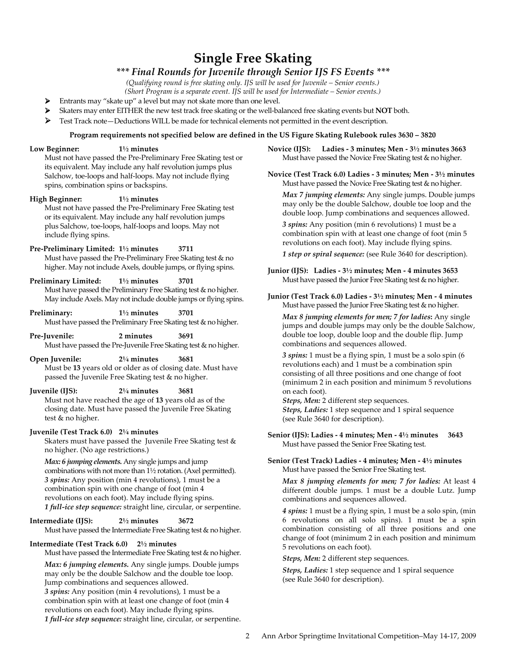# Single Free Skating

# \*\*\* Final Rounds for Juvenile through Senior IJS FS Events \*\*\*

(Qualifying round is free skating only. IJS will be used for Juvenile – Senior events.)

(Short Program is a separate event. IJS will be used for Intermediate – Senior events.)

- Entrants may "skate up" a level but may not skate more than one level.
- Skaters may enter EITHER the new test track free skating or the well-balanced free skating events but NOT both.
- Test Track note—Deductions WILL be made for technical elements not permitted in the event description.

#### Program requirements not specified below are defined in the US Figure Skating Rulebook rules 3630 – 3820

#### Low Beginner: 1½ minutes

Must not have passed the Pre-Preliminary Free Skating test or its equivalent. May include any half revolution jumps plus Salchow, toe-loops and half-loops. May not include flying spins, combination spins or backspins.

#### High Beginner: 1½ minutes

Must not have passed the Pre-Preliminary Free Skating test or its equivalent. May include any half revolution jumps plus Salchow, toe-loops, half-loops and loops. May not include flying spins.

# Pre-Preliminary Limited: 1½ minutes 3711

Must have passed the Pre-Preliminary Free Skating test & no higher. May not include Axels, double jumps, or flying spins.

#### Preliminary Limited: 1½ minutes 3701

Must have passed the Preliminary Free Skating test & no higher. May include Axels. May not include double jumps or flying spins.

### Preliminary: 1<sup>1/2</sup> minutes 3701

Must have passed the Preliminary Free Skating test & no higher.

Pre-Juvenile: 2 minutes 3691 Must have passed the Pre-Juvenile Free Skating test & no higher.

#### Open Juvenile: 2¼ minutes 3681 Must be 13 years old or older as of closing date. Must have passed the Juvenile Free Skating test & no higher.

#### Juvenile (IJS): 2¼ minutes 3681

Must not have reached the age of 13 years old as of the closing date. Must have passed the Juvenile Free Skating test & no higher.

### Juvenile (Test Track 6.0) 2¼ minutes

Skaters must have passed the Juvenile Free Skating test & no higher. (No age restrictions.)

Max: 6 jumping elements. Any single jumps and jump combinations with not more than 1½ rotation. (Axel permitted). 3 spins: Any position (min 4 revolutions), 1 must be a combination spin with one change of foot (min 4 revolutions on each foot). May include flying spins. 1 full-ice step sequence: straight line, circular, or serpentine.

Intermediate (IJS): 2½ minutes 3672 Must have passed the Intermediate Free Skating test & no higher.

### Intermediate (Test Track 6.0) 2½ minutes

Must have passed the Intermediate Free Skating test & no higher.

Max: 6 jumping elements. Any single jumps. Double jumps may only be the double Salchow and the double toe loop. Jump combinations and sequences allowed. 3 spins: Any position (min 4 revolutions), 1 must be a combination spin with at least one change of foot (min 4 revolutions on each foot). May include flying spins. 1 full-ice step sequence: straight line, circular, or serpentine. Novice (IJS): Ladies - 3 minutes; Men - 3½ minutes 3663 Must have passed the Novice Free Skating test & no higher.

Novice (Test Track 6.0) Ladies - 3 minutes; Men - 3½ minutes Must have passed the Novice Free Skating test & no higher.

Max 7 jumping elements: Any single jumps. Double jumps may only be the double Salchow, double toe loop and the double loop. Jump combinations and sequences allowed.

3 spins: Any position (min 6 revolutions) 1 must be a combination spin with at least one change of foot (min 5 revolutions on each foot). May include flying spins.

1 step or spiral sequence: (see Rule 3640 for description).

Junior (IJS): Ladies - 3½ minutes; Men - 4 minutes 3653 Must have passed the Junior Free Skating test & no higher.

Junior (Test Track 6.0) Ladies - 3½ minutes; Men - 4 minutes Must have passed the Junior Free Skating test & no higher.

Max 8 jumping elements for men; 7 for ladies: Any single jumps and double jumps may only be the double Salchow, double toe loop, double loop and the double flip. Jump combinations and sequences allowed.

3 spins: 1 must be a flying spin, 1 must be a solo spin (6 revolutions each) and 1 must be a combination spin consisting of all three positions and one change of foot (minimum 2 in each position and minimum 5 revolutions on each foot).

Steps, Men: 2 different step sequences. Steps, Ladies: 1 step sequence and 1 spiral sequence (see Rule 3640 for description).

Senior (IJS): Ladies - 4 minutes; Men - 4½ minutes 3643 Must have passed the Senior Free Skating test.

Senior (Test Track) Ladies - 4 minutes; Men - 4½ minutes Must have passed the Senior Free Skating test.

Max 8 jumping elements for men; 7 for ladies: At least 4 different double jumps. 1 must be a double Lutz. Jump combinations and sequences allowed.

4 spins: 1 must be a flying spin, 1 must be a solo spin, (min 6 revolutions on all solo spins). 1 must be a spin combination consisting of all three positions and one change of foot (minimum 2 in each position and minimum 5 revolutions on each foot).

Steps, Men: 2 different step sequences.

Steps, Ladies: 1 step sequence and 1 spiral sequence (see Rule 3640 for description).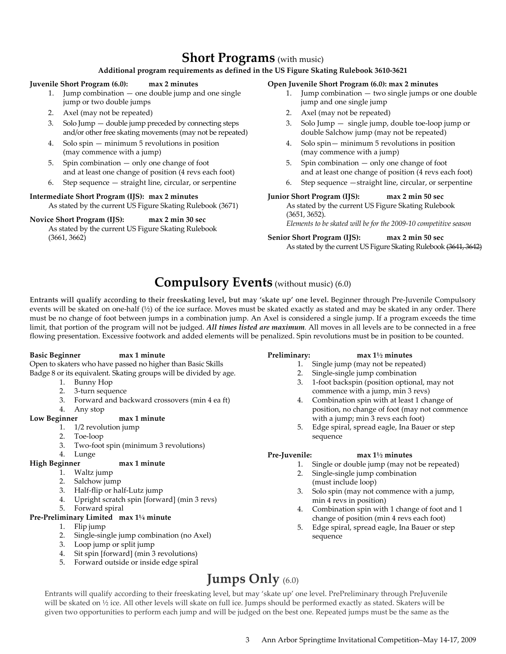# Short Programs (with music)

### Additional program requirements as defined in the US Figure Skating Rulebook 3610-3621

#### Juvenile Short Program (6.0): max 2 minutes

- 1. Jump combination one double jump and one single jump or two double jumps
- 2. Axel (may not be repeated)
- 3. Solo Jump double jump preceded by connecting steps and/or other free skating movements (may not be repeated)
- 4. Solo spin minimum 5 revolutions in position (may commence with a jump)
- 5. Spin combination only one change of foot and at least one change of position (4 revs each foot)
- 6. Step sequence straight line, circular, or serpentine

### Intermediate Short Program (IJS): max 2 minutes

As stated by the current US Figure Skating Rulebook (3671)

Novice Short Program (IJS): max 2 min 30 sec As stated by the current US Figure Skating Rulebook (3661, 3662)

#### Open Juvenile Short Program (6.0): max 2 minutes

- 1. Jump combination two single jumps or one double jump and one single jump
- 2. Axel (may not be repeated)
- 3. Solo Jump single jump, double toe-loop jump or double Salchow jump (may not be repeated)
- 4. Solo spin— minimum 5 revolutions in position (may commence with a jump)
- 5. Spin combination only one change of foot and at least one change of position (4 revs each foot)
- 6. Step sequence —straight line, circular, or serpentine

#### Junior Short Program (IJS): max 2 min 50 sec

As stated by the current US Figure Skating Rulebook (3651, 3652).

Elements to be skated will be for the 2009-10 competitive season

Senior Short Program (IJS): max 2 min 50 sec As stated by the current US Figure Skating Rulebook (3641, 3642)

# Compulsory Events (without music) (6.0)

Entrants will qualify according to their freeskating level, but may 'skate up' one level. Beginner through Pre-Juvenile Compulsory events will be skated on one-half (½) of the ice surface. Moves must be skated exactly as stated and may be skated in any order. There must be no change of foot between jumps in a combination jump. An Axel is considered a single jump. If a program exceeds the time limit, that portion of the program will not be judged. All times listed are maximum. All moves in all levels are to be connected in a free flowing presentation. Excessive footwork and added elements will be penalized. Spin revolutions must be in position to be counted.

### Basic Beginner max 1 minute

Open to skaters who have passed no higher than Basic Skills Badge 8 or its equivalent. Skating groups will be divided by age.

- 1. Bunny Hop
- 2. 3-turn sequence
- 3. Forward and backward crossovers (min 4 ea ft)
- 4. Any stop

### Low Beginner max 1 minute

- 1. 1/2 revolution jump
- 2. Toe-loop
- 3. Two-foot spin (minimum 3 revolutions)
- 4. Lunge

### High Beginner max 1 minute

- 1. Waltz jump
- 2. Salchow jump
- 3. Half-flip or half-Lutz jump
- 4. Upright scratch spin [forward] (min 3 revs)
- 5. Forward spiral

### Pre-Preliminary Limited max 1¼ minute

- 1. Flip jump
- 2. Single-single jump combination (no Axel)
- 3. Loop jump or split jump
- 4. Sit spin [forward] (min 3 revolutions)
- 5. Forward outside or inside edge spiral

# Preliminary: max 1½ minutes

- 1. Single jump (may not be repeated)
- 2. Single-single jump combination
- 3. 1-foot backspin (position optional, may not commence with a jump, min 3 revs)
- 4. Combination spin with at least 1 change of position, no change of foot (may not commence with a jump; min 3 revs each foot)
- 5. Edge spiral, spread eagle, Ina Bauer or step sequence

### Pre-Juvenile: max 1½ minutes

- 1. Single or double jump (may not be repeated)
- 2. Single-single jump combination (must include loop)
- 3. Solo spin (may not commence with a jump, min 4 revs in position)
- 4. Combination spin with 1 change of foot and 1 change of position (min 4 revs each foot)
- 5. Edge spiral, spread eagle, Ina Bauer or step sequence

# Jumps Only (6.0)

Entrants will qualify according to their freeskating level, but may 'skate up' one level. PrePreliminary through PreJuvenile will be skated on ½ ice. All other levels will skate on full ice. Jumps should be performed exactly as stated. Skaters will be given two opportunities to perform each jump and will be judged on the best one. Repeated jumps must be the same as the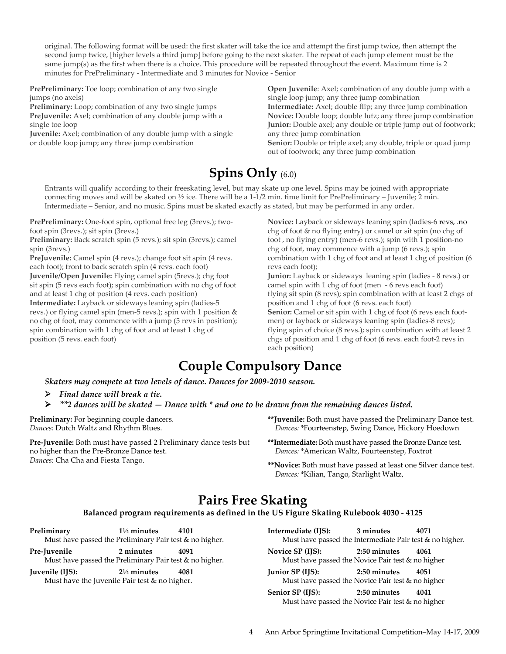original. The following format will be used: the first skater will take the ice and attempt the first jump twice, then attempt the second jump twice, [higher levels a third jump] before going to the next skater. The repeat of each jump element must be the same jump(s) as the first when there is a choice. This procedure will be repeated throughout the event. Maximum time is 2 minutes for PrePreliminary - Intermediate and 3 minutes for Novice - Senior

PrePreliminary: Toe loop; combination of any two single jumps (no axels)

Preliminary: Loop; combination of any two single jumps PreJuvenile: Axel; combination of any double jump with a single toe loop

Juvenile: Axel; combination of any double jump with a single or double loop jump; any three jump combination

Open Juvenile: Axel; combination of any double jump with a single loop jump; any three jump combination Intermediate: Axel; double flip; any three jump combination Novice: Double loop; double lutz; any three jump combination Junior: Double axel; any double or triple jump out of footwork; any three jump combination

Senior: Double or triple axel; any double, triple or quad jump out of footwork; any three jump combination

# Spins Only (6.0)

Entrants will qualify according to their freeskating level, but may skate up one level. Spins may be joined with appropriate connecting moves and will be skated on  $\frac{1}{2}$  ice. There will be a 1-1/2 min. time limit for PrePreliminary – Juvenile; 2 min. Intermediate – Senior, and no music. Spins must be skated exactly as stated, but may be performed in any order.

PrePreliminary: One-foot spin, optional free leg (3revs.); twofoot spin (3revs.); sit spin (3revs.)

Preliminary: Back scratch spin (5 revs.); sit spin (3revs.); camel spin (3revs.)

PreJuvenile: Camel spin (4 revs.); change foot sit spin (4 revs. each foot); front to back scratch spin (4 revs. each foot) Juvenile/Open Juvenile: Flying camel spin (5revs.); chg foot sit spin (5 revs each foot); spin combination with no chg of foot and at least 1 chg of position (4 revs. each position) Intermediate: Layback or sideways leaning spin (ladies-5 revs.) or flying camel spin (men-5 revs.); spin with 1 position & no chg of foot, may commence with a jump (5 revs in position); spin combination with 1 chg of foot and at least 1 chg of position (5 revs. each foot)

Novice: Layback or sideways leaning spin (ladies-6 revs, .no chg of foot & no flying entry) or camel or sit spin (no chg of foot , no flying entry) (men-6 revs.); spin with 1 position-no chg of foot, may commence with a jump (6 revs.); spin combination with 1 chg of foot and at least 1 chg of position (6 revs each foot);

Junior: Layback or sideways leaning spin (ladies - 8 revs.) or camel spin with 1 chg of foot (men - 6 revs each foot) flying sit spin (8 revs); spin combination with at least 2 chgs of position and 1 chg of foot (6 revs. each foot) Senior: Camel or sit spin with 1 chg of foot (6 revs each footmen) or layback or sideways leaning spin (ladies-8 revs); flying spin of choice (8 revs.); spin combination with at least 2 chgs of position and 1 chg of foot (6 revs. each foot-2 revs in each position)

# Couple Compulsory Dance

Skaters may compete at two levels of dance. Dances for 2009-2010 season.

- $\triangleright$  Final dance will break a tie.
- $\triangleright$  \*\*2 dances will be skated  $-$  Dance with \* and one to be drawn from the remaining dances listed.

Preliminary: For beginning couple dancers. Dances: Dutch Waltz and Rhythm Blues.

Pre-Juvenile: Both must have passed 2 Preliminary dance tests but no higher than the Pre-Bronze Dance test. Dances: Cha Cha and Fiesta Tango.

- \*\*Juvenile: Both must have passed the Preliminary Dance test. Dances: \*Fourteenstep, Swing Dance, Hickory Hoedown
- \*\*Intermediate: Both must have passed the Bronze Dance test. Dances: \*American Waltz, Fourteenstep, Foxtrot
- \*\*Novice: Both must have passed at least one Silver dance test. Dances: \*Kilian, Tango, Starlight Waltz,

# Pairs Free Skating

# Balanced program requirements as defined in the US Figure Skating Rulebook 4030 - 4125

Preliminary 1<sup>1</sup>/<sub>2</sub> minutes 4101 Must have passed the Preliminary Pair test & no higher. Pre-Juvenile 2 minutes 4091 Must have passed the Preliminary Pair test & no higher. Juvenile (IJS): 2½ minutes 4081 Must have the Juvenile Pair test & no higher.

Intermediate (IJS): 3 minutes 4071 Must have passed the Intermediate Pair test & no higher. Novice SP (IJS): 2:50 minutes 4061 Must have passed the Novice Pair test & no higher Junior SP (IJS): 2:50 minutes 4051 Must have passed the Novice Pair test & no higher Senior SP (IJS): 2:50 minutes 4041 Must have passed the Novice Pair test & no higher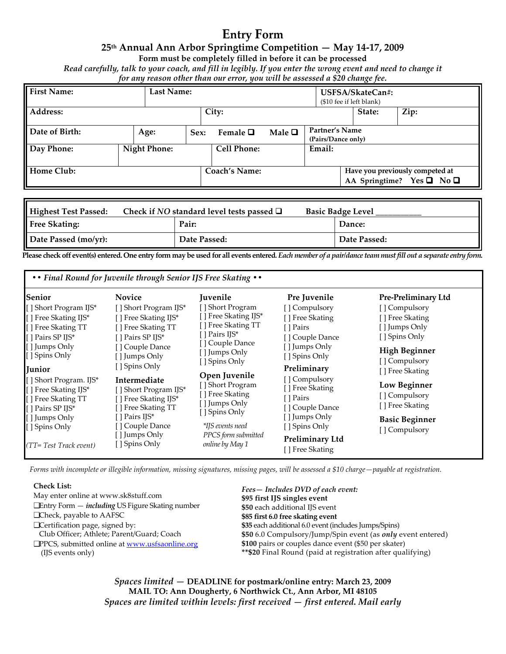# Entry Form

# 25th Annual Ann Arbor Springtime Competition — May 14-17, 2009

Form must be completely filled in before it can be processed

Read carefully, talk to your coach, and fill in legibly. If you enter the wrong event and need to change it for any reason other than our error, you will be assessed a \$20 change fee.

|                    |  |                     |      | $\prime$ $\prime$  |                |                                      | $\mathbf{o}$                                 |                                                                        |
|--------------------|--|---------------------|------|--------------------|----------------|--------------------------------------|----------------------------------------------|------------------------------------------------------------------------|
| <b>First Name:</b> |  | <b>Last Name:</b>   |      |                    |                |                                      | USFSA/SkateCan#:<br>(\$10 fee if left blank) |                                                                        |
| Address:           |  |                     |      | City:              |                |                                      | State:                                       | Zip:                                                                   |
| Date of Birth:     |  | Age:                | Sex: | Female $\Box$      | Male $\square$ | Partner's Name<br>(Pairs/Dance only) |                                              |                                                                        |
| Day Phone:         |  | <b>Night Phone:</b> |      | <b>Cell Phone:</b> |                | Email:                               |                                              |                                                                        |
| Home Club:         |  |                     |      | Coach's Name:      |                |                                      |                                              | Have you previously competed at<br>AA Springtime? Yes $\Box$ No $\Box$ |

| <b>Highest Test Passed:</b> | Check if NO standard level tests passed $\Box$ | <b>Basic Badge Level</b> |  |  |
|-----------------------------|------------------------------------------------|--------------------------|--|--|
| <b>Free Skating:</b>        | Pair:                                          | Dance:                   |  |  |
| Date Passed (mo/yr):        | Date Passed:                                   | Date Passed:             |  |  |

Please check off event(s) entered. One entry form may be used for all events entered. Each member of a pair/dance team must fill out a separate entry form.

| • • Final Round for Juvenile through Senior IJS Free Skating • •                                                                                                                                                                                                                                                                                                                                                                                                                                                                                                                                                                                   |                                                                                                                                                                                                                                                                                                              |                                                                                                                                                                                                                                                                                                |                                                                                                                                                                                                                                                           |  |
|----------------------------------------------------------------------------------------------------------------------------------------------------------------------------------------------------------------------------------------------------------------------------------------------------------------------------------------------------------------------------------------------------------------------------------------------------------------------------------------------------------------------------------------------------------------------------------------------------------------------------------------------------|--------------------------------------------------------------------------------------------------------------------------------------------------------------------------------------------------------------------------------------------------------------------------------------------------------------|------------------------------------------------------------------------------------------------------------------------------------------------------------------------------------------------------------------------------------------------------------------------------------------------|-----------------------------------------------------------------------------------------------------------------------------------------------------------------------------------------------------------------------------------------------------------|--|
| Senior<br><b>Novice</b><br>[] Short Program IJS*<br>[] Short Program IJS*<br>[] Free Skating IJS*<br>[] Free Skating IJS*<br>[] Free Skating TT<br>[ ] Free Skating TT<br>[ ] Pairs SP IJS*<br>[ ] Pairs SP IJS*<br>[ ] Jumps Only<br>[] Couple Dance<br>[ ] Spins Only<br>[ ] Jumps Only<br>[ ] Spins Only<br>Junior<br>[ ] Short Program. IJS*<br>Intermediate<br>[] Free Skating IJS*<br>[] Short Program IJS*<br>[] Free Skating TT<br>[ ] Free Skating IJS*<br>[] Free Skating TT<br>[ ] Pairs SP IJS*<br>[ ] Pairs IJS*<br>[ ] Jumps Only<br>[ ] Couple Dance<br>[ ] Spins Only<br>[ ] Jumps Only<br>[] Spins Only<br>(TT= Test Track event) | Juvenile<br>[] Short Program<br>[ ] Free Skating IJS*<br>[] Free Skating TT<br>I Pairs IJS*<br>[] Couple Dance<br>[ ] Jumps Only<br>[ ] Spins Only<br>Open Juvenile<br>[] Short Program<br>[] Free Skating<br>[ ] Jumps Only<br>[ ] Spins Only<br>*IJS events need<br>PPCS form submitted<br>online by May 1 | Pre Juvenile<br>[] Compulsory<br>[ ] Free Skating<br>[ ] Pairs<br>[ ] Couple Dance<br>[ ] Jumps Only<br>[ ] Spins Only<br>Preliminary<br>[ ] Compulsory<br>[ ] Free Skating<br>[ ] Pairs<br>[ ] Couple Dance<br>[ ] Jumps Only<br>[ ] Spins Only<br><b>Preliminary Ltd</b><br>[ ] Free Skating | Pre-Preliminary Ltd<br>[] Compulsory<br>[] Free Skating<br>[ ] Jumps Only<br>[ ] Spins Only<br><b>High Beginner</b><br>[] Compulsory<br>[ ] Free Skating<br>Low Beginner<br>[ ] Compulsory<br>[ ] Free Skating<br><b>Basic Beginner</b><br>[ ] Compulsory |  |

Forms with incomplete or illegible information, missing signatures, missing pages, will be assessed a \$10 charge—payable at registration.

### Check List:

| CHECK LIST.                                                     | Fees – Includes DVD of each event:                                 |
|-----------------------------------------------------------------|--------------------------------------------------------------------|
| May enter online at www.sk8stuff.com                            | \$95 first IJS singles event                                       |
| $\Box$ Entry Form $-$ <i>including</i> US Figure Skating number | \$50 each additional IJS event                                     |
| $\Box$ Check, payable to AAFSC                                  | \$85 first 6.0 free skating event                                  |
| □ Certification page, signed by:                                | \$35 each additional 6.0 event (includes Jumps/Spins)              |
| Club Officer; Athlete; Parent/Guard; Coach                      | \$50 6.0 Compulsory/Jump/Spin event (as <i>only</i> event entered) |
| $\Box$ PPCS, submitted online at www.usfsaonline.org            | \$100 pairs or couples dance event (\$50 per skater)               |
| (IJS events only)                                               | <b>**\$20</b> Final Round (paid at registration after qualifying)  |
|                                                                 |                                                                    |

Spaces limited — DEADLINE for postmark/online entry: March 23, 2009 MAIL TO: Ann Dougherty, 6 Northwick Ct., Ann Arbor, MI 48105 Spaces are limited within levels: first received — first entered. Mail early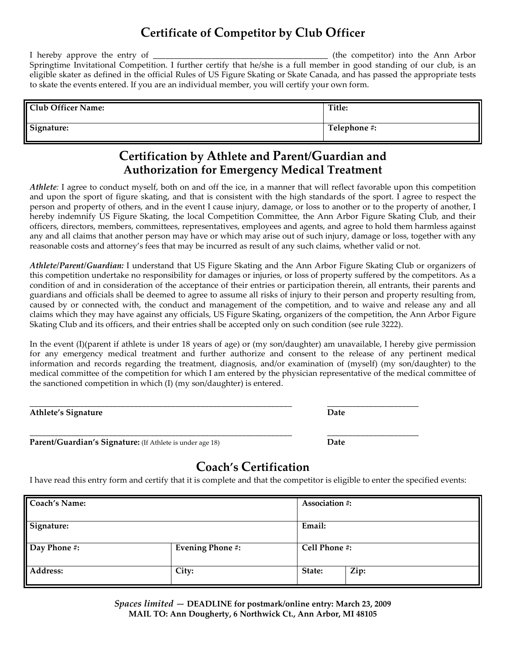# Certificate of Competitor by Club Officer

I hereby approve the entry of \_\_\_\_\_\_\_\_\_\_\_\_\_\_\_\_\_\_\_\_\_\_\_\_\_\_\_\_\_\_\_\_\_\_\_\_\_\_\_\_\_\_ (the competitor) into the Ann Arbor Springtime Invitational Competition. I further certify that he/she is a full member in good standing of our club, is an eligible skater as defined in the official Rules of US Figure Skating or Skate Canada, and has passed the appropriate tests to skate the events entered. If you are an individual member, you will certify your own form.

| <b>Club Officer Name:</b> | Title:       |
|---------------------------|--------------|
| Signature:                | Telephone #: |

# Certification by Athlete and Parent/Guardian and Authorization for Emergency Medical Treatment

Athlete: I agree to conduct myself, both on and off the ice, in a manner that will reflect favorable upon this competition and upon the sport of figure skating, and that is consistent with the high standards of the sport. I agree to respect the person and property of others, and in the event I cause injury, damage, or loss to another or to the property of another, I hereby indemnify US Figure Skating, the local Competition Committee, the Ann Arbor Figure Skating Club, and their officers, directors, members, committees, representatives, employees and agents, and agree to hold them harmless against any and all claims that another person may have or which may arise out of such injury, damage or loss, together with any reasonable costs and attorney's fees that may be incurred as result of any such claims, whether valid or not.

Athlete/Parent/Guardian: I understand that US Figure Skating and the Ann Arbor Figure Skating Club or organizers of this competition undertake no responsibility for damages or injuries, or loss of property suffered by the competitors. As a condition of and in consideration of the acceptance of their entries or participation therein, all entrants, their parents and guardians and officials shall be deemed to agree to assume all risks of injury to their person and property resulting from, caused by or connected with, the conduct and management of the competition, and to waive and release any and all claims which they may have against any officials, US Figure Skating, organizers of the competition, the Ann Arbor Figure Skating Club and its officers, and their entries shall be accepted only on such condition (see rule 3222).

In the event (I)(parent if athlete is under 18 years of age) or (my son/daughter) am unavailable, I hereby give permission for any emergency medical treatment and further authorize and consent to the release of any pertinent medical information and records regarding the treatment, diagnosis, and/or examination of (myself) (my son/daughter) to the medical committee of the competition for which I am entered by the physician representative of the medical committee of the sanctioned competition in which (I) (my son/daughter) is entered.

| <b>Athlete's Signature</b>                                | Date |  |
|-----------------------------------------------------------|------|--|
| Parent/Guardian's Signature: (If Athlete is under age 18) | Date |  |

# Coach's Certification

I have read this entry form and certify that it is complete and that the competitor is eligible to enter the specified events:

| <b>Coach's Name:</b> |                         | Association #: |      |
|----------------------|-------------------------|----------------|------|
| Signature:           |                         | Email:         |      |
| Day Phone #:         | <b>Evening Phone #:</b> | Cell Phone #:  |      |
| Address:             | City:                   | State:         | Zip: |

Spaces limited — DEADLINE for postmark/online entry: March 23, 2009 MAIL TO: Ann Dougherty, 6 Northwick Ct., Ann Arbor, MI 48105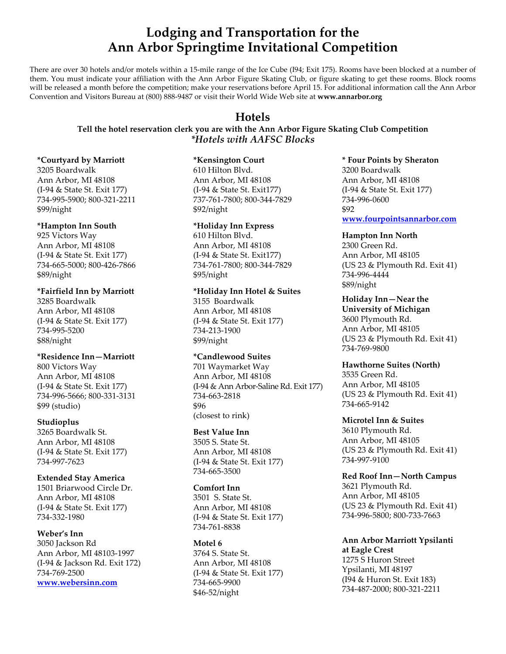# Lodging and Transportation for the Ann Arbor Springtime Invitational Competition

There are over 30 hotels and/or motels within a 15-mile range of the Ice Cube (I94; Exit 175). Rooms have been blocked at a number of them. You must indicate your affiliation with the Ann Arbor Figure Skating Club, or figure skating to get these rooms. Block rooms will be released a month before the competition; make your reservations before April 15. For additional information call the Ann Arbor Convention and Visitors Bureau at (800) 888-9487 or visit their World Wide Web site at www.annarbor.org

# Hotels

# Tell the hotel reservation clerk you are with the Ann Arbor Figure Skating Club Competition \*Hotels with AAFSC Blocks

### \*Courtyard by Marriott

3205 Boardwalk Ann Arbor, MI 48108 (I-94 & State St. Exit 177) 734-995-5900; 800-321-2211 \$99/night

# \*Hampton Inn South

925 Victors Way Ann Arbor, MI 48108 (I-94 & State St. Exit 177) 734-665-5000; 800-426-7866 \$89/night

# \*Fairfield Inn by Marriott

3285 Boardwalk Ann Arbor, MI 48108 (I-94 & State St. Exit 177) 734-995-5200 \$88/night

# \*Residence Inn—Marriott

800 Victors Way Ann Arbor, MI 48108 (I-94 & State St. Exit 177) 734-996-5666; 800-331-3131 \$99 (studio)

# Studioplus

3265 Boardwalk St. Ann Arbor, MI 48108 (I-94 & State St. Exit 177) 734-997-7623

# Extended Stay America

1501 Briarwood Circle Dr. Ann Arbor, MI 48108 (I-94 & State St. Exit 177) 734-332-1980

# Weber's Inn

3050 Jackson Rd Ann Arbor, MI 48103-1997 (I-94 & Jackson Rd. Exit 172) 734-769-2500 www.webersinn.com

# \*Kensington Court

610 Hilton Blvd. Ann Arbor, MI 48108 (I-94 & State St. Exit177) 737-761-7800; 800-344-7829 \$92/night

# \*Holiday Inn Express

610 Hilton Blvd. Ann Arbor, MI 48108 (I-94 & State St. Exit177) 734-761-7800; 800-344-7829 \$95/night

### \*Holiday Inn Hotel & Suites

3155 Boardwalk Ann Arbor, MI 48108 (I-94 & State St. Exit 177) 734-213-1900 \$99/night

# \*Candlewood Suites

701 Waymarket Way Ann Arbor, MI 48108 (I-94 & Ann Arbor-Saline Rd. Exit 177) 734-663-2818 \$96 (closest to rink)

# Best Value Inn

3505 S. State St. Ann Arbor, MI 48108 (I-94 & State St. Exit 177) 734-665-3500

# Comfort Inn

3501 S. State St. Ann Arbor, MI 48108 (I-94 & State St. Exit 177) 734-761-8838

# Motel 6

3764 S. State St. Ann Arbor, MI 48108 (I-94 & State St. Exit 177) 734-665-9900 \$46-52/night

\* Four Points by Sheraton 3200 Boardwalk Ann Arbor, MI 48108 (I-94 & State St. Exit 177) 734-996-0600 \$92

www.fourpointsannarbor.com

### Hampton Inn North 2300 Green Rd. Ann Arbor, MI 48105 (US 23 & Plymouth Rd. Exit 41) 734-996-4444 \$89/night

Holiday Inn—Near the University of Michigan 3600 Plymouth Rd. Ann Arbor, MI 48105 (US 23 & Plymouth Rd. Exit 41)

### Hawthorne Suites (North)

734-769-9800

3535 Green Rd. Ann Arbor, MI 48105 (US 23 & Plymouth Rd. Exit 41) 734-665-9142

# Microtel Inn & Suites

3610 Plymouth Rd. Ann Arbor, MI 48105 (US 23 & Plymouth Rd. Exit 41) 734-997-9100

Red Roof Inn—North Campus 3621 Plymouth Rd. Ann Arbor, MI 48105 (US 23 & Plymouth Rd. Exit 41) 734-996-5800; 800-733-7663

Ann Arbor Marriott Ypsilanti at Eagle Crest 1275 S Huron Street Ypsilanti, MI 48197 (I94 & Huron St. Exit 183) 734-487-2000; 800-321-2211